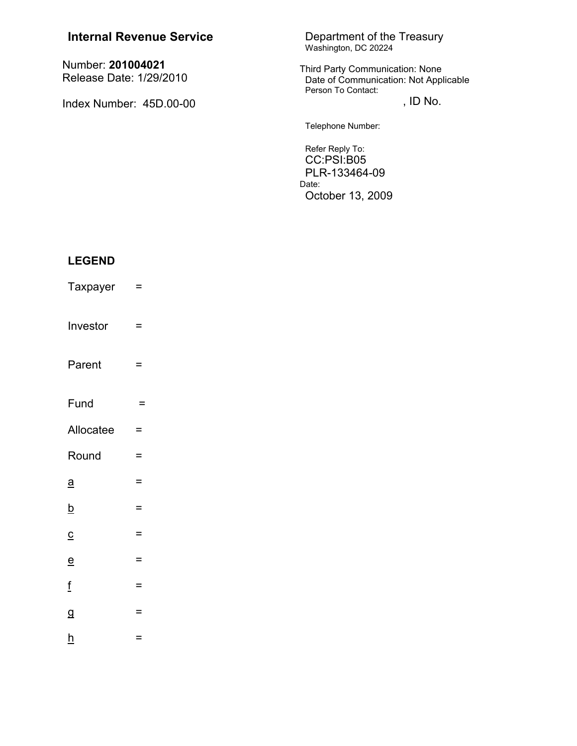| <b>Internal Revenue Service</b>              | Department of the Treasury<br>Washington, DC 20224                                                    |
|----------------------------------------------|-------------------------------------------------------------------------------------------------------|
| Number: 201004021<br>Release Date: 1/29/2010 | <b>Third Party Communication: None</b><br>Date of Communication: Not Applicable<br>Person To Contact: |
| Index Number: 45D.00-00                      | , ID No.                                                                                              |
|                                              | Telephone Number:                                                                                     |
|                                              | Refer Reply To:<br>CC:PSI:B05<br>PLR-133464-09<br>Date:<br>October 13, 2009                           |

# **LEGEND**

Taxpayer  $\equiv$ Investor  $\equiv$ Parent  $\equiv$ Fund  $\mathcal{C} =$ Allocatee  $\equiv$ Round  $\equiv$  $\underline{a}$  $\equiv$  $\underline{b}$  $\equiv$  $\equiv$  $\underline{\mathsf{c}}$  $\underline{\mathsf{e}}$  $\equiv$  $\underline{\mathbf{f}}$  $\equiv$  $\overline{a}$  $\equiv$  $h$  $\equiv$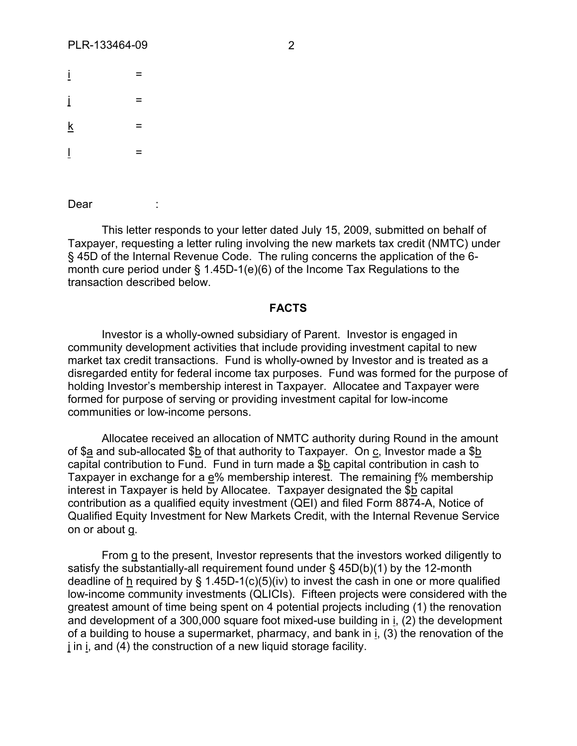| İ               | $=$ |
|-----------------|-----|
| İ               | $=$ |
| $\underline{k}$ | $=$ |
| Ţ               | $=$ |

Dear

This letter responds to your letter dated July 15, 2009, submitted on behalf of Taxpayer, requesting a letter ruling involving the new markets tax credit (NMTC) under § 45D of the Internal Revenue Code. The ruling concerns the application of the 6 month cure period under § 1.45D-1(e)(6) of the Income Tax Regulations to the transaction described below.

#### **FACTS**

Investor is a wholly-owned subsidiary of Parent. Investor is engaged in community development activities that include providing investment capital to new market tax credit transactions. Fund is wholly-owned by Investor and is treated as a disregarded entity for federal income tax purposes. Fund was formed for the purpose of holding Investor's membership interest in Taxpayer. Allocatee and Taxpayer were formed for purpose of serving or providing investment capital for low-income communities or low-income persons.

Allocatee received an allocation of NMTC authority during Round in the amount of \$a and sub-allocated \$b of that authority to Taxpayer. On c, Investor made a \$b capital contribution to Fund. Fund in turn made a \$b capital contribution in cash to Taxpayer in exchange for a e% membership interest. The remaining f% membership interest in Taxpayer is held by Allocatee. Taxpayer designated the \$b capital contribution as a qualified equity investment (QEI) and filed Form 8874-A, Notice of Qualified Equity Investment for New Markets Credit, with the Internal Revenue Service on or about g.

From g to the present, Investor represents that the investors worked diligently to satisfy the substantially-all requirement found under  $\S$  45D(b)(1) by the 12-month deadline of h required by § 1.45D-1(c)(5)(iv) to invest the cash in one or more qualified low-income community investments (QLICIs). Fifteen projects were considered with the greatest amount of time being spent on 4 potential projects including (1) the renovation and development of a 300,000 square foot mixed-use building in i, (2) the development of a building to house a supermarket, pharmacy, and bank in i, (3) the renovation of the j in i, and (4) the construction of a new liquid storage facility.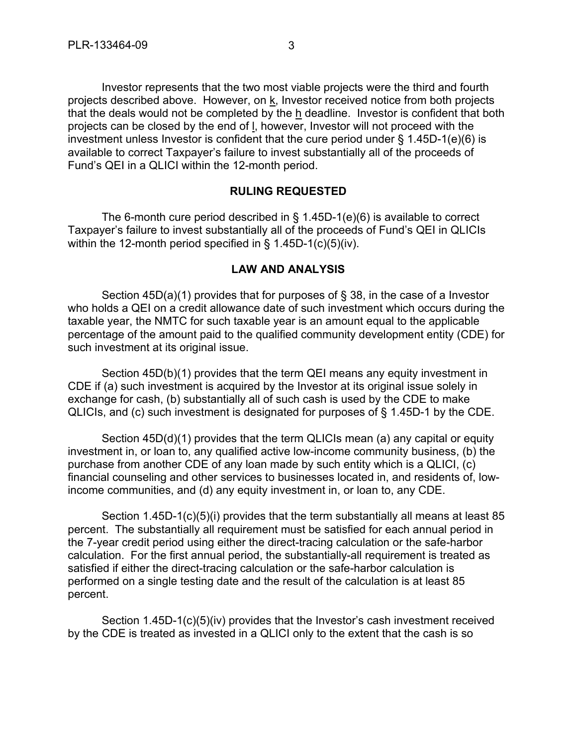Investor represents that the two most viable projects were the third and fourth projects described above. However, on k, Investor received notice from both projects that the deals would not be completed by the h deadline. Investor is confident that both projects can be closed by the end of l, however, Investor will not proceed with the investment unless Investor is confident that the cure period under § 1.45D-1(e)(6) is available to correct Taxpayer's failure to invest substantially all of the proceeds of Fund's QEI in a QLICI within the 12-month period.

### **RULING REQUESTED**

The 6-month cure period described in § 1.45D-1(e)(6) is available to correct Taxpayer's failure to invest substantially all of the proceeds of Fund's QEI in QLICIs within the 12-month period specified in § 1.45D-1(c)(5)(iv).

#### **LAW AND ANALYSIS**

Section 45D(a)(1) provides that for purposes of § 38, in the case of a Investor who holds a QEI on a credit allowance date of such investment which occurs during the taxable year, the NMTC for such taxable year is an amount equal to the applicable percentage of the amount paid to the qualified community development entity (CDE) for such investment at its original issue.

Section 45D(b)(1) provides that the term QEI means any equity investment in CDE if (a) such investment is acquired by the Investor at its original issue solely in exchange for cash, (b) substantially all of such cash is used by the CDE to make QLICIs, and (c) such investment is designated for purposes of § 1.45D-1 by the CDE.

Section 45D(d)(1) provides that the term QLICIs mean (a) any capital or equity investment in, or loan to, any qualified active low-income community business, (b) the purchase from another CDE of any loan made by such entity which is a QLICI, (c) financial counseling and other services to businesses located in, and residents of, lowincome communities, and (d) any equity investment in, or loan to, any CDE.

Section 1.45D-1(c)(5)(i) provides that the term substantially all means at least 85 percent. The substantially all requirement must be satisfied for each annual period in the 7-year credit period using either the direct-tracing calculation or the safe-harbor calculation. For the first annual period, the substantially-all requirement is treated as satisfied if either the direct-tracing calculation or the safe-harbor calculation is performed on a single testing date and the result of the calculation is at least 85 percent.

Section 1.45D-1(c)(5)(iv) provides that the Investor's cash investment received by the CDE is treated as invested in a QLICI only to the extent that the cash is so